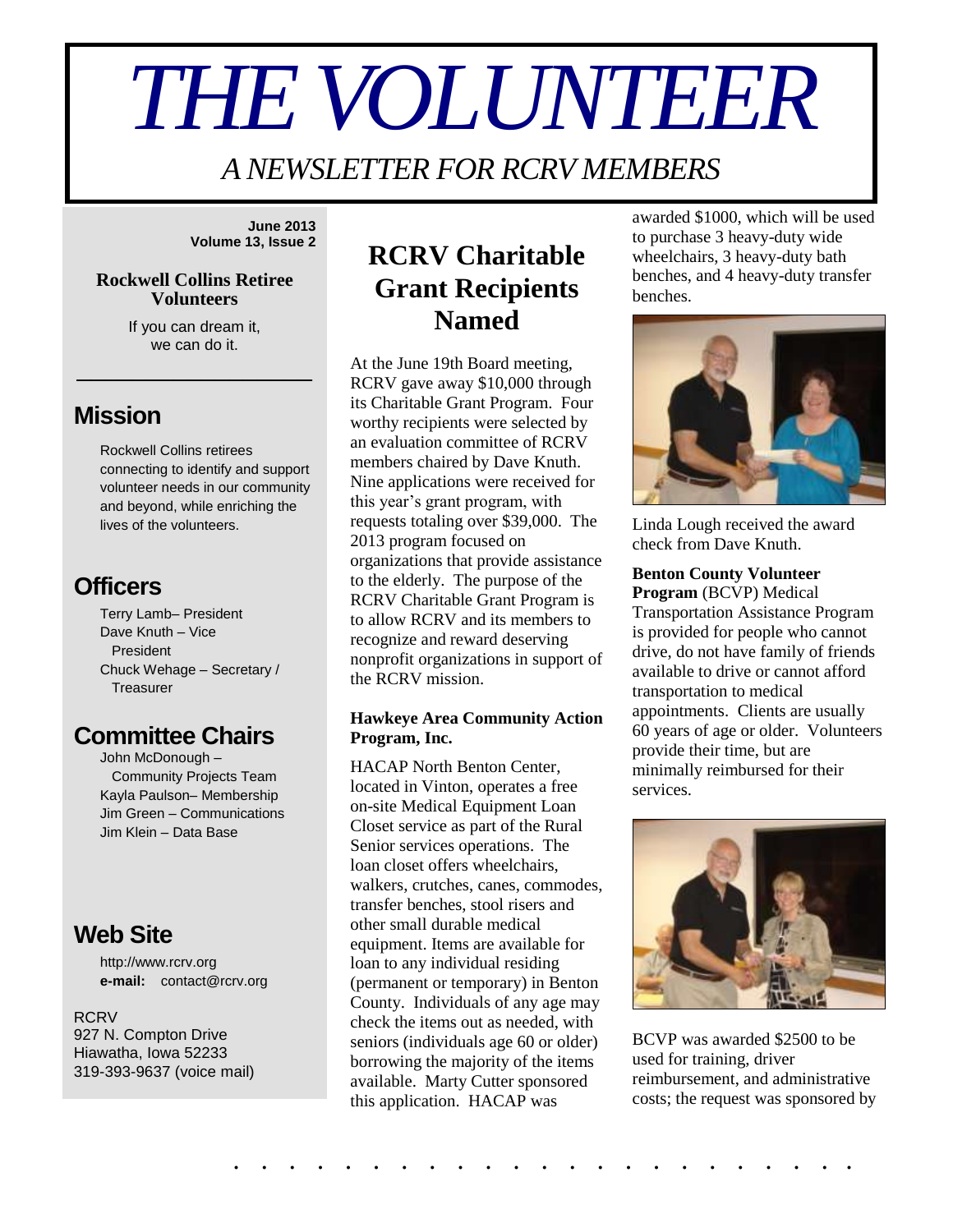# *THE VOLUNTEER*

*A NEWSLETTER FOR RCRV MEMBERS*

**June 2013 Volume 13, Issue 2**

#### **Rockwell Collins Retiree Volunteers**

If you can dream it, we can do it.

\_\_\_\_\_\_\_\_\_\_\_\_\_\_\_\_\_

## **Mission**

Rockwell Collins retirees connecting to identify and support volunteer needs in our community and beyond, while enriching the lives of the volunteers.

## **Officers**

Terry Lamb– President Dave Knuth – Vice President Chuck Wehage – Secretary / **Treasurer** 

## **Committee Chairs**

John McDonough – Community Projects Team Kayla Paulson– Membership Jim Green – Communications Jim Klein – Data Base

## **Web Site**

http://www.rcrv.org **e-mail:** contact@rcrv.org

#### **RCRV** 927 N. Compton Drive Hiawatha, Iowa 52233 319-393-9637 (voice mail)

## **RCRV Charitable Grant Recipients Named**

At the June 19th Board meeting, RCRV gave away \$10,000 through its Charitable Grant Program. Four worthy recipients were selected by an evaluation committee of RCRV members chaired by Dave Knuth. Nine applications were received for this year's grant program, with requests totaling over \$39,000. The 2013 program focused on organizations that provide assistance to the elderly. The purpose of the RCRV Charitable Grant Program is to allow RCRV and its members to recognize and reward deserving nonprofit organizations in support of the RCRV mission.

#### **Hawkeye Area Community Action Program, Inc.**

HACAP North Benton Center, located in Vinton, operates a free on-site Medical Equipment Loan Closet service as part of the Rural Senior services operations. The loan closet offers wheelchairs, walkers, crutches, canes, commodes, transfer benches, stool risers and other small durable medical equipment. Items are available for loan to any individual residing (permanent or temporary) in Benton County. Individuals of any age may check the items out as needed, with seniors (individuals age 60 or older) borrowing the majority of the items available. Marty Cutter sponsored this application. HACAP was

awarded \$1000, which will be used to purchase 3 heavy-duty wide wheelchairs, 3 heavy-duty bath benches, and 4 heavy-duty transfer benches.



Linda Lough received the award check from Dave Knuth.

#### **Benton County Volunteer**

**Program** (BCVP) Medical Transportation Assistance Program is provided for people who cannot drive, do not have family of friends available to drive or cannot afford transportation to medical appointments. Clients are usually 60 years of age or older. Volunteers provide their time, but are minimally reimbursed for their services.



BCVP was awarded \$2500 to be used for training, driver reimbursement, and administrative costs; the request was sponsored by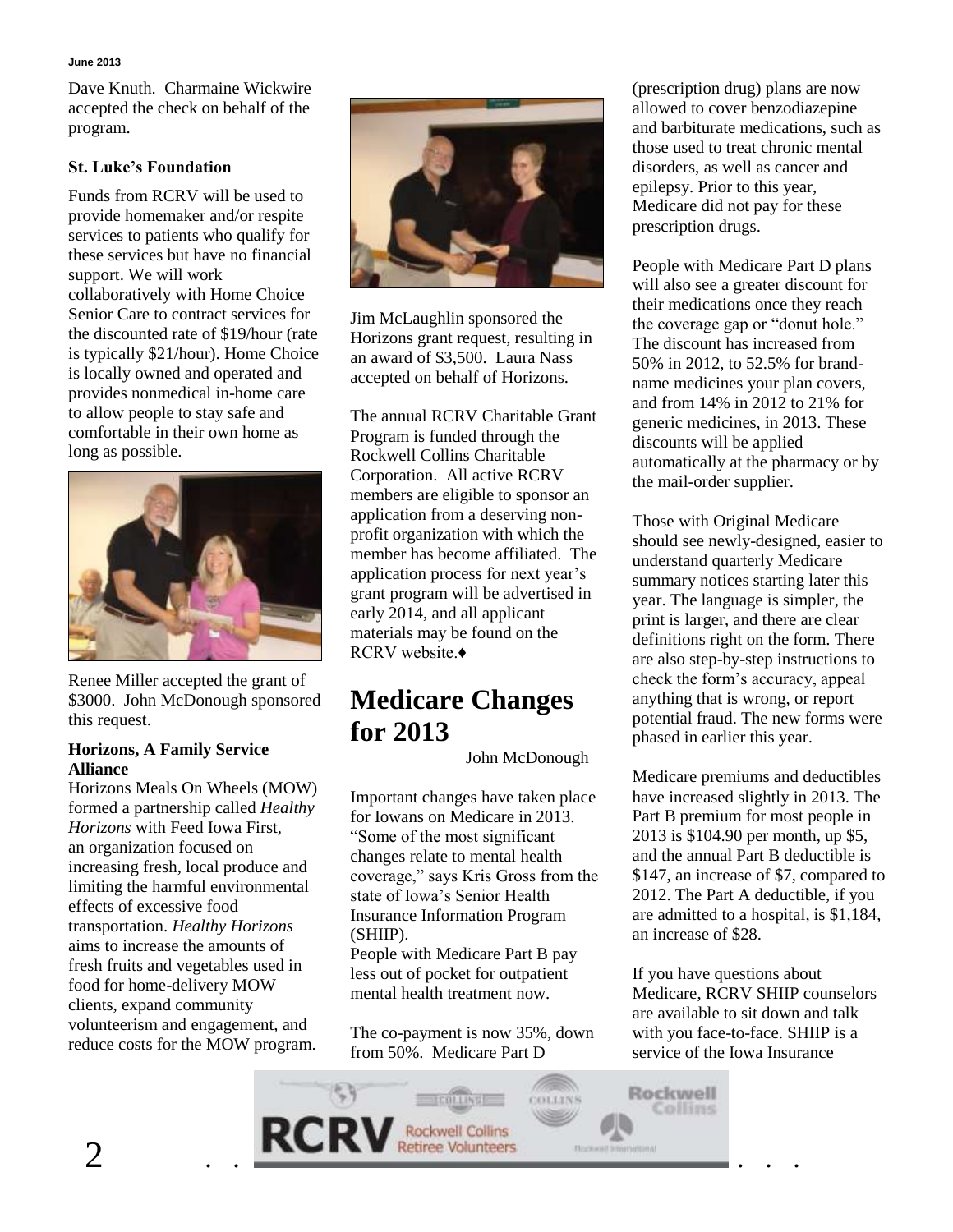Dave Knuth. Charmaine Wickwire accepted the check on behalf of the program.

### **St. Luke's Foundation**

Funds from RCRV will be used to provide homemaker and/or respite services to patients who qualify for these services but have no financial support. We will work collaboratively with Home Choice Senior Care to contract services for the discounted rate of \$19/hour (rate is typically \$21/hour). Home Choice is locally owned and operated and provides nonmedical in-home care to allow people to stay safe and comfortable in their own home as long as possible.



Renee Miller accepted the grant of \$3000. John McDonough sponsored this request.

#### **Horizons, A Family Service Alliance**

Horizons Meals On Wheels (MOW) formed a partnership called *Healthy Horizons* with Feed Iowa First, an organization focused on increasing fresh, local produce and limiting the harmful environmental effects of excessive food transportation. *Healthy Horizons*  aims to increase the amounts of fresh fruits and vegetables used in food for home-delivery MOW clients, expand community volunteerism and engagement, and reduce costs for the MOW program.



Jim McLaughlin sponsored the Horizons grant request, resulting in an award of \$3,500. Laura Nass accepted on behalf of Horizons.

The annual RCRV Charitable Grant Program is funded through the Rockwell Collins Charitable Corporation. All active RCRV members are eligible to sponsor an application from a deserving nonprofit organization with which the member has become affiliated. The application process for next year's grant program will be advertised in early 2014, and all applicant materials may be found on the RCRV website.♦

## **Medicare Changes for 2013**

John McDonough

Important changes have taken place for Iowans on Medicare in 2013. "Some of the most significant changes relate to mental health coverage," says Kris Gross from the state of Iowa's Senior Health Insurance Information Program (SHIIP).

People with Medicare Part B pay less out of pocket for outpatient mental health treatment now.

The co-payment is now 35%, down from 50%. Medicare Part D

(prescription drug) plans are now allowed to cover benzodiazepine and barbiturate medications, such as those used to treat chronic mental disorders, as well as cancer and epilepsy. Prior to this year, Medicare did not pay for these prescription drugs.

People with Medicare Part D plans will also see a greater discount for their medications once they reach the coverage gap or "donut hole." The discount has increased from 50% in 2012, to 52.5% for brandname medicines your plan covers, and from 14% in 2012 to 21% for generic medicines, in 2013. These discounts will be applied automatically at the pharmacy or by the mail-order supplier.

Those with Original Medicare should see newly-designed, easier to understand quarterly Medicare summary notices starting later this year. The language is simpler, the print is larger, and there are clear definitions right on the form. There are also step-by-step instructions to check the form's accuracy, appeal anything that is wrong, or report potential fraud. The new forms were phased in earlier this year.

Medicare premiums and deductibles have increased slightly in 2013. The Part B premium for most people in 2013 is \$104.90 per month, up \$5, and the annual Part B deductible is \$147, an increase of \$7, compared to 2012. The Part A deductible, if you are admitted to a hospital, is \$1,184, an increase of \$28.

If you have questions about Medicare, RCRV SHIIP counselors are available to sit down and talk with you face-to-face. SHIIP is a service of the Iowa Insurance

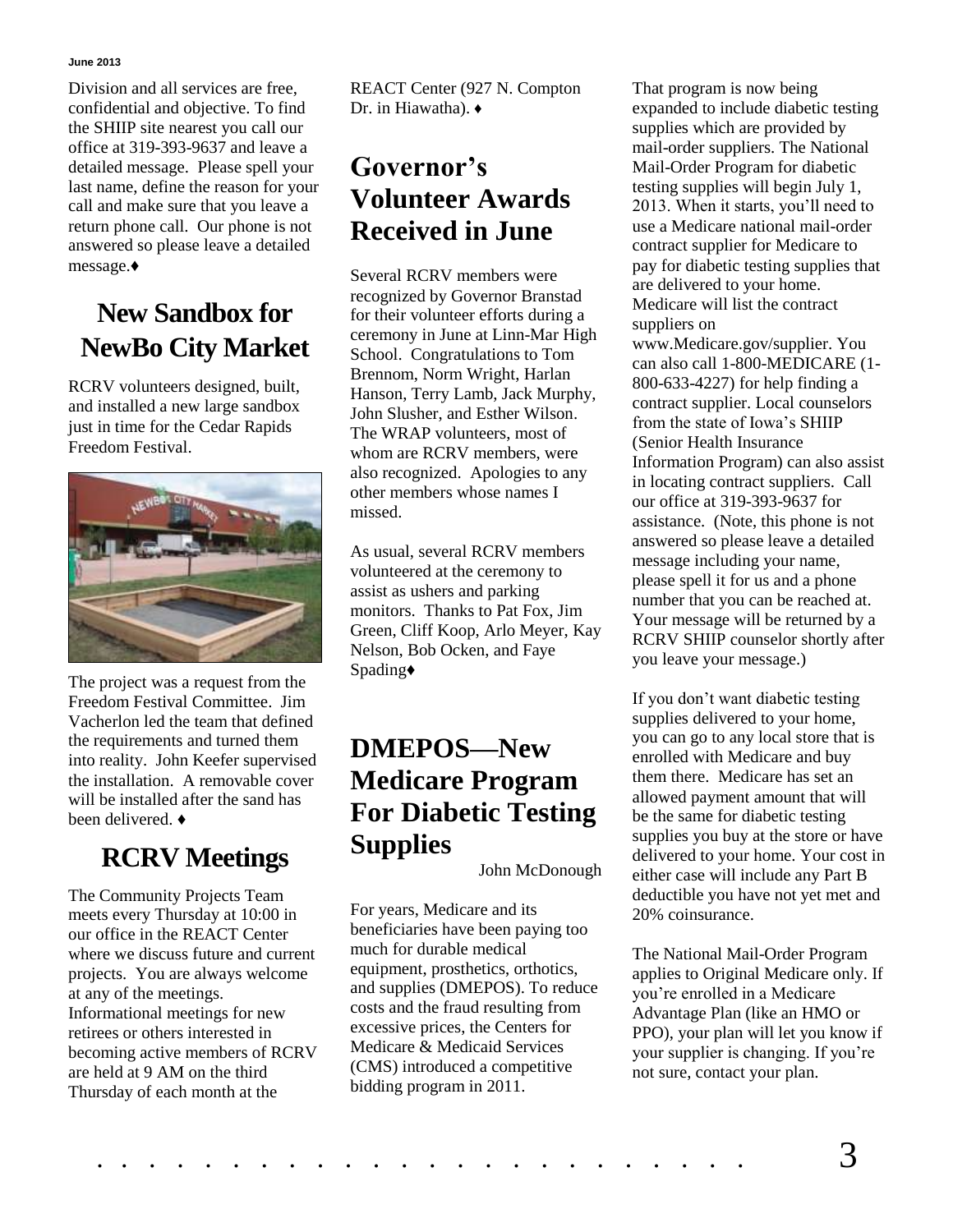#### **June 2013**

Division and all services are free, confidential and objective. To find the SHIIP site nearest you call our office at 319-393-9637 and leave a detailed message. Please spell your last name, define the reason for your call and make sure that you leave a return phone call. Our phone is not answered so please leave a detailed message.♦

# **New Sandbox for NewBo City Market**

RCRV volunteers designed, built, and installed a new large sandbox just in time for the Cedar Rapids Freedom Festival.



The project was a request from the Freedom Festival Committee. Jim Vacherlon led the team that defined the requirements and turned them into reality. John Keefer supervised the installation. A removable cover will be installed after the sand has been delivered. ♦

# **RCRV Meetings**

The Community Projects Team meets every Thursday at 10:00 in our office in the REACT Center where we discuss future and current projects. You are always welcome at any of the meetings. Informational meetings for new retirees or others interested in becoming active members of RCRV are held at 9 AM on the third Thursday of each month at the

REACT Center (927 N. Compton Dr. in Hiawatha). ♦

# **Governor's Volunteer Awards Received in June**

Several RCRV members were recognized by Governor Branstad for their volunteer efforts during a ceremony in June at Linn-Mar High School. Congratulations to Tom Brennom, Norm Wright, Harlan Hanson, Terry Lamb, Jack Murphy, John Slusher, and Esther Wilson. The WRAP volunteers, most of whom are RCRV members, were also recognized. Apologies to any other members whose names I missed.

As usual, several RCRV members volunteered at the ceremony to assist as ushers and parking monitors. Thanks to Pat Fox, Jim Green, Cliff Koop, Arlo Meyer, Kay Nelson, Bob Ocken, and Faye Spading♦

# **DMEPOS—New Medicare Program For Diabetic Testing Supplies**

John McDonough

For years, Medicare and its beneficiaries have been paying too much for durable medical equipment, prosthetics, orthotics, and supplies (DMEPOS). To reduce costs and the fraud resulting from excessive prices, the Centers for Medicare & Medicaid Services (CMS) introduced a competitive bidding program in 2011.

That program is now being expanded to include diabetic testing supplies which are provided by mail-order suppliers. The National Mail-Order Program for diabetic testing supplies will begin July 1, 2013. When it starts, you'll need to use a Medicare national mail-order contract supplier for Medicare to pay for diabetic testing supplies that are delivered to your home. Medicare will list the contract suppliers on

www.Medicare.gov/supplier. You can also call 1-800-MEDICARE (1- 800-633-4227) for help finding a contract supplier. Local counselors from the state of Iowa's SHIIP (Senior Health Insurance Information Program) can also assist in locating contract suppliers. Call our office at 319-393-9637 for assistance. (Note, this phone is not answered so please leave a detailed message including your name, please spell it for us and a phone number that you can be reached at. Your message will be returned by a RCRV SHIIP counselor shortly after you leave your message.)

If you don't want diabetic testing supplies delivered to your home, you can go to any local store that is enrolled with Medicare and buy them there. Medicare has set an allowed payment amount that will be the same for diabetic testing supplies you buy at the store or have delivered to your home. Your cost in either case will include any Part B deductible you have not yet met and 20% coinsurance.

The National Mail-Order Program applies to Original Medicare only. If you're enrolled in a Medicare Advantage Plan (like an HMO or PPO), your plan will let you know if your supplier is changing. If you're not sure, contact your plan.